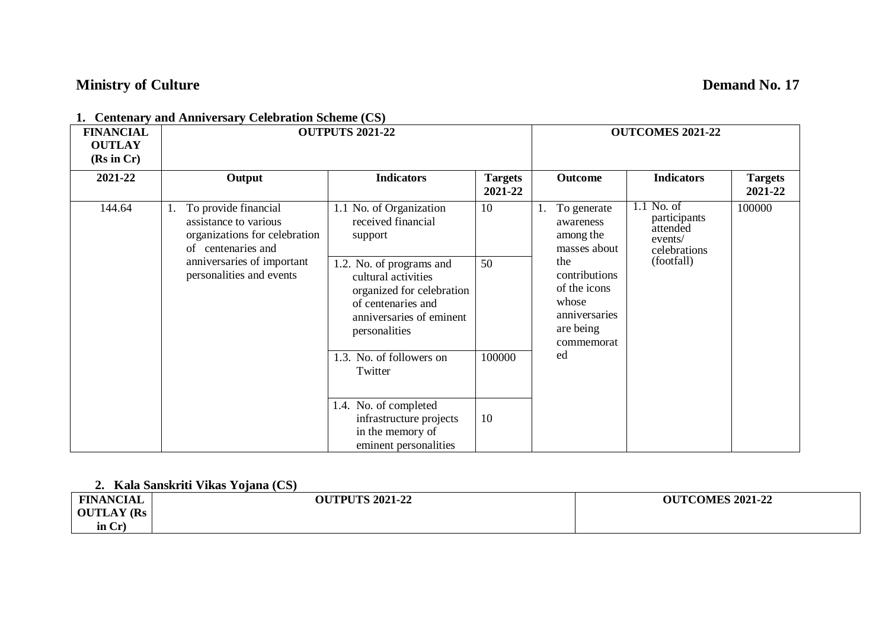# **Ministry of Culture Demand No. 17**

| <b>FINANCIAL</b><br><b>OUTLAY</b><br>(Rs in Cr) |                                                                                                      | <b>OUTPUTS 2021-22</b>                                                                                                                          |                           |                                                                                                      |                   | <b>OUTCOMES 2021-22</b>    |  |        |
|-------------------------------------------------|------------------------------------------------------------------------------------------------------|-------------------------------------------------------------------------------------------------------------------------------------------------|---------------------------|------------------------------------------------------------------------------------------------------|-------------------|----------------------------|--|--------|
| 2021-22                                         | Output                                                                                               | <b>Indicators</b>                                                                                                                               | <b>Targets</b><br>2021-22 | Outcome                                                                                              | <b>Indicators</b> | <b>Targets</b><br>2021-22  |  |        |
| 144.64                                          | To provide financial<br>assistance to various<br>organizations for celebration<br>of centenaries and | 1.1 No. of Organization<br>received financial<br>support                                                                                        | 10                        | participants<br>awareness<br>attended<br>among the<br>events/<br>masses about<br>celebrations<br>the | To generate<br>1. | $1.1$ No. of<br>(footfall) |  | 100000 |
|                                                 | anniversaries of important<br>personalities and events                                               | 1.2. No. of programs and<br>cultural activities<br>organized for celebration<br>of centenaries and<br>anniversaries of eminent<br>personalities | 50                        | contributions<br>of the icons<br>whose<br>anniversaries<br>are being<br>commemorat                   |                   |                            |  |        |
|                                                 |                                                                                                      | 1.3. No. of followers on<br>Twitter                                                                                                             | 100000                    | ed                                                                                                   |                   |                            |  |        |
|                                                 |                                                                                                      | 1.4. No. of completed<br>infrastructure projects<br>in the memory of<br>eminent personalities                                                   | 10                        |                                                                                                      |                   |                            |  |        |

**1. Centenary and Anniversary Celebration Scheme (CS)**

### **2. Kala Sanskriti Vikas Yojana (CS)**

| <b>FINANCIAL</b>  | <b>OUTPUTS 2021-22</b> | <b>OUTCOMES 2021-22</b> |
|-------------------|------------------------|-------------------------|
| <b>OUTLAY (Rs</b> |                        |                         |
| in $Cr$ )         |                        |                         |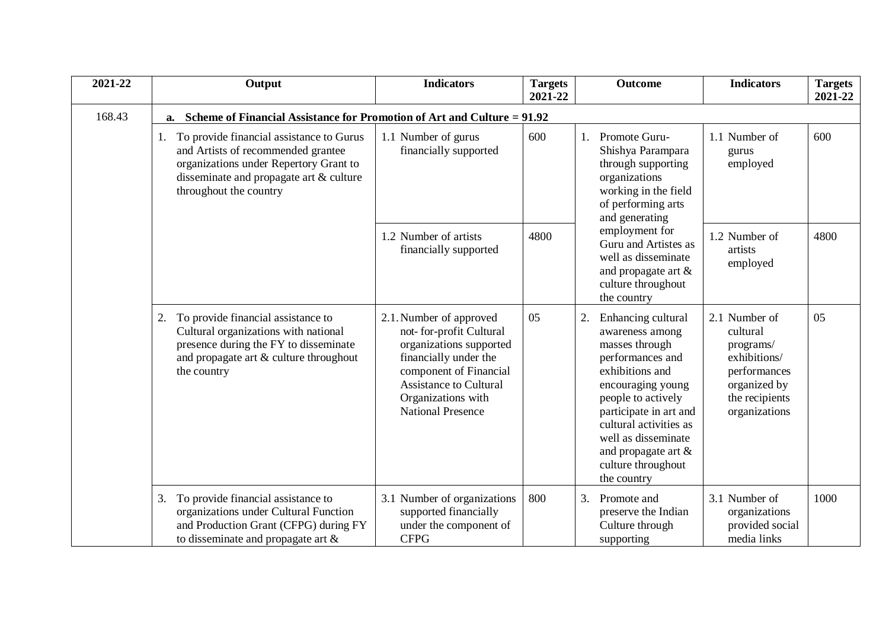| 2021-22 | Output                                                                                                                                                                                           | <b>Indicators</b>                                                                                                                                                                                                    | <b>Targets</b><br>2021-22 | <b>Outcome</b>                                                                                                                                                                                                                                                                         | <b>Indicators</b>                                                                                                         | <b>Targets</b><br>2021-22 |
|---------|--------------------------------------------------------------------------------------------------------------------------------------------------------------------------------------------------|----------------------------------------------------------------------------------------------------------------------------------------------------------------------------------------------------------------------|---------------------------|----------------------------------------------------------------------------------------------------------------------------------------------------------------------------------------------------------------------------------------------------------------------------------------|---------------------------------------------------------------------------------------------------------------------------|---------------------------|
| 168.43  | Scheme of Financial Assistance for Promotion of Art and Culture = 91.92<br>a.                                                                                                                    |                                                                                                                                                                                                                      |                           |                                                                                                                                                                                                                                                                                        |                                                                                                                           |                           |
|         | 1. To provide financial assistance to Gurus<br>and Artists of recommended grantee<br>organizations under Repertory Grant to<br>disseminate and propagate art & culture<br>throughout the country | 1.1 Number of gurus<br>financially supported                                                                                                                                                                         | 600                       | Promote Guru-<br>Shishya Parampara<br>through supporting<br>organizations<br>working in the field<br>of performing arts<br>and generating                                                                                                                                              | 1.1 Number of<br>gurus<br>employed                                                                                        | 600                       |
|         |                                                                                                                                                                                                  | 1.2 Number of artists<br>financially supported                                                                                                                                                                       | 4800                      | employment for<br>Guru and Artistes as<br>well as disseminate<br>and propagate art &<br>culture throughout<br>the country                                                                                                                                                              | 1.2 Number of<br>artists<br>employed                                                                                      | 4800                      |
|         | To provide financial assistance to<br>2.<br>Cultural organizations with national<br>presence during the FY to disseminate<br>and propagate art & culture throughout<br>the country               | 2.1. Number of approved<br>not- for-profit Cultural<br>organizations supported<br>financially under the<br>component of Financial<br><b>Assistance to Cultural</b><br>Organizations with<br><b>National Presence</b> | 05                        | 2.<br>Enhancing cultural<br>awareness among<br>masses through<br>performances and<br>exhibitions and<br>encouraging young<br>people to actively<br>participate in art and<br>cultural activities as<br>well as disseminate<br>and propagate art &<br>culture throughout<br>the country | 2.1 Number of<br>cultural<br>programs/<br>exhibitions/<br>performances<br>organized by<br>the recipients<br>organizations | 05                        |
|         | To provide financial assistance to<br>3.<br>organizations under Cultural Function<br>and Production Grant (CFPG) during FY<br>to disseminate and propagate art $\&$                              | 3.1 Number of organizations<br>supported financially<br>under the component of<br><b>CFPG</b>                                                                                                                        | 800                       | 3.<br>Promote and<br>preserve the Indian<br>Culture through<br>supporting                                                                                                                                                                                                              | 3.1 Number of<br>organizations<br>provided social<br>media links                                                          | 1000                      |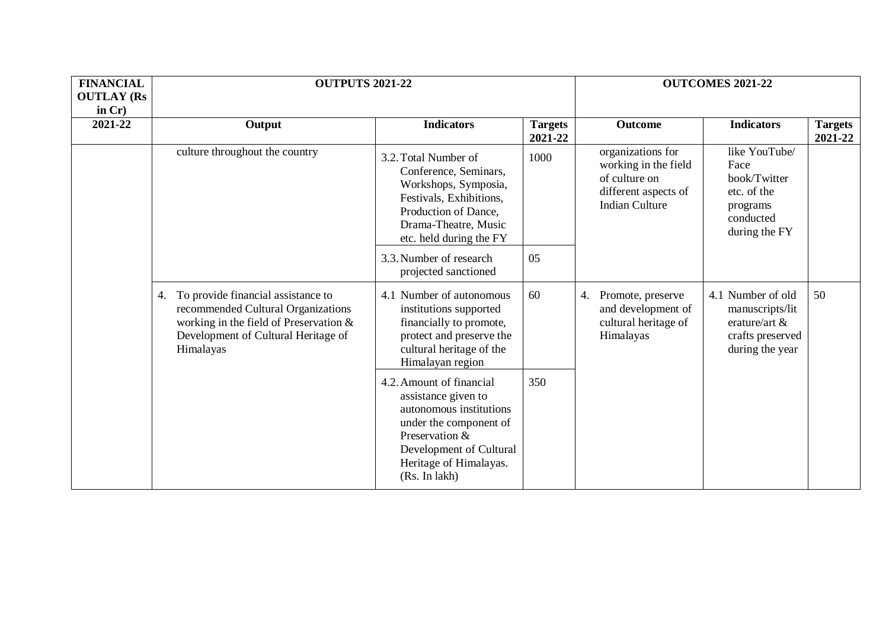| <b>FINANCIAL</b><br><b>OUTLAY (Rs</b><br>in $Cr$ ) |                                                                                                                                                                              | <b>OUTPUTS 2021-22</b>                                                                                                                                                                       |                                                                                                                     | <b>OUTCOMES 2021-22</b>                                                         |                                                                                                |                           |
|----------------------------------------------------|------------------------------------------------------------------------------------------------------------------------------------------------------------------------------|----------------------------------------------------------------------------------------------------------------------------------------------------------------------------------------------|---------------------------------------------------------------------------------------------------------------------|---------------------------------------------------------------------------------|------------------------------------------------------------------------------------------------|---------------------------|
| 2021-22                                            | Output                                                                                                                                                                       | <b>Indicators</b>                                                                                                                                                                            | <b>Targets</b><br>2021-22                                                                                           | <b>Outcome</b>                                                                  | <b>Indicators</b>                                                                              | <b>Targets</b><br>2021-22 |
|                                                    | culture throughout the country                                                                                                                                               | 3.2. Total Number of<br>Conference, Seminars,<br>Workshops, Symposia,<br>Festivals, Exhibitions,<br>Production of Dance,<br>Drama-Theatre, Music<br>etc. held during the FY                  | organizations for<br>1000<br>working in the field<br>of culture on<br>different aspects of<br><b>Indian Culture</b> |                                                                                 | like YouTube/<br>Face<br>book/Twitter<br>etc. of the<br>programs<br>conducted<br>during the FY |                           |
|                                                    |                                                                                                                                                                              | 3.3. Number of research<br>projected sanctioned                                                                                                                                              | 05                                                                                                                  |                                                                                 |                                                                                                |                           |
|                                                    | To provide financial assistance to<br>4.<br>recommended Cultural Organizations<br>working in the field of Preservation &<br>Development of Cultural Heritage of<br>Himalayas | 4.1 Number of autonomous<br>institutions supported<br>financially to promote,<br>protect and preserve the<br>cultural heritage of the<br>Himalayan region                                    | 60                                                                                                                  | 4. Promote, preserve<br>and development of<br>cultural heritage of<br>Himalayas | 4.1 Number of old<br>manuscripts/lit<br>erature/art $&$<br>crafts preserved<br>during the year | 50                        |
|                                                    |                                                                                                                                                                              | 4.2. Amount of financial<br>assistance given to<br>autonomous institutions<br>under the component of<br>Preservation &<br>Development of Cultural<br>Heritage of Himalayas.<br>(Rs. In lakh) | 350                                                                                                                 |                                                                                 |                                                                                                |                           |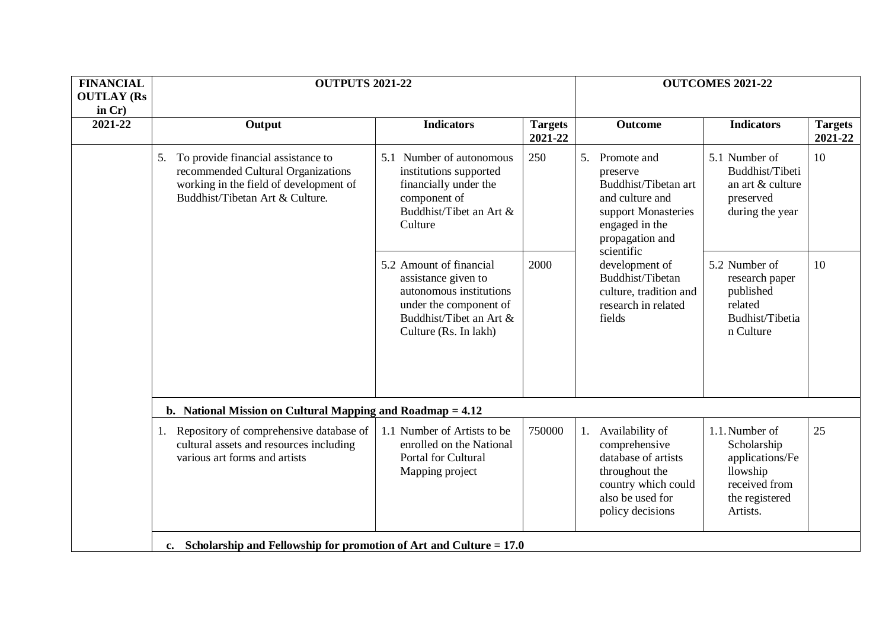| <b>FINANCIAL</b><br><b>OUTLAY (Rs</b><br>in $Cr$ ) |                                                                                                                                                             | <b>OUTPUTS 2021-22</b>                                                                                                                                  |                           |                                                                                                                                                                                                                                                  | <b>OUTCOMES 2021-22</b>                                                                                     |                           |
|----------------------------------------------------|-------------------------------------------------------------------------------------------------------------------------------------------------------------|---------------------------------------------------------------------------------------------------------------------------------------------------------|---------------------------|--------------------------------------------------------------------------------------------------------------------------------------------------------------------------------------------------------------------------------------------------|-------------------------------------------------------------------------------------------------------------|---------------------------|
| 2021-22                                            | Output                                                                                                                                                      | <b>Indicators</b>                                                                                                                                       | <b>Targets</b><br>2021-22 | <b>Outcome</b>                                                                                                                                                                                                                                   | <b>Indicators</b>                                                                                           | <b>Targets</b><br>2021-22 |
|                                                    | To provide financial assistance to<br>5.<br>recommended Cultural Organizations<br>working in the field of development of<br>Buddhist/Tibetan Art & Culture. | 5.1 Number of autonomous<br>institutions supported<br>financially under the<br>component of<br>Buddhist/Tibet an Art &<br>Culture                       | 250                       | 5. Promote and<br>preserve<br>Buddhist/Tibetan art<br>and culture and<br>support Monasteries<br>engaged in the<br>propagation and<br>scientific<br>development of<br>Buddhist/Tibetan<br>culture, tradition and<br>research in related<br>fields | 5.1 Number of<br>Buddhist/Tibeti<br>an art & culture<br>preserved<br>during the year                        | 10                        |
|                                                    |                                                                                                                                                             | 5.2 Amount of financial<br>assistance given to<br>autonomous institutions<br>under the component of<br>Buddhist/Tibet an Art &<br>Culture (Rs. In lakh) | 2000                      |                                                                                                                                                                                                                                                  | 5.2 Number of<br>research paper<br>published<br>related<br>Budhist/Tibetia<br>n Culture                     | 10                        |
|                                                    | b. National Mission on Cultural Mapping and Roadmap $= 4.12$                                                                                                |                                                                                                                                                         |                           |                                                                                                                                                                                                                                                  |                                                                                                             |                           |
|                                                    | 1. Repository of comprehensive database of<br>cultural assets and resources including<br>various art forms and artists                                      | 1.1 Number of Artists to be<br>enrolled on the National<br><b>Portal for Cultural</b><br>Mapping project                                                | 750000                    | Availability of<br>1.<br>comprehensive<br>database of artists<br>throughout the<br>country which could<br>also be used for<br>policy decisions                                                                                                   | 1.1. Number of<br>Scholarship<br>applications/Fe<br>llowship<br>received from<br>the registered<br>Artists. | 25                        |
|                                                    | c. Scholarship and Fellowship for promotion of Art and Culture $= 17.0$                                                                                     |                                                                                                                                                         |                           |                                                                                                                                                                                                                                                  |                                                                                                             |                           |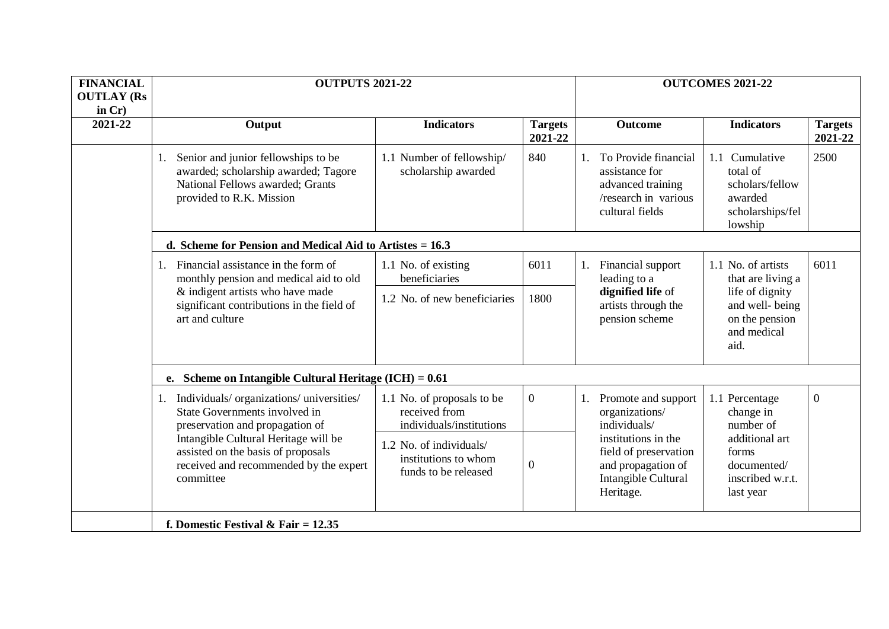| <b>FINANCIAL</b><br><b>OUTLAY (Rs</b><br>in $Cr$ ) | <b>OUTPUTS 2021-22</b>                                                                                                                                                                                       |                                                                         |                           | <b>OUTCOMES 2021-22</b>                                                                                |                                                                                                        |                                                                                         |                           |
|----------------------------------------------------|--------------------------------------------------------------------------------------------------------------------------------------------------------------------------------------------------------------|-------------------------------------------------------------------------|---------------------------|--------------------------------------------------------------------------------------------------------|--------------------------------------------------------------------------------------------------------|-----------------------------------------------------------------------------------------|---------------------------|
| 2021-22                                            | Output                                                                                                                                                                                                       | <b>Indicators</b>                                                       | <b>Targets</b><br>2021-22 |                                                                                                        | <b>Outcome</b>                                                                                         | <b>Indicators</b>                                                                       | <b>Targets</b><br>2021-22 |
|                                                    | Senior and junior fellowships to be<br>1.<br>awarded; scholarship awarded; Tagore<br>National Fellows awarded; Grants<br>provided to R.K. Mission                                                            | 1.1 Number of fellowship/<br>scholarship awarded                        | 840                       |                                                                                                        | To Provide financial<br>assistance for<br>advanced training<br>/research in various<br>cultural fields | 1.1 Cumulative<br>total of<br>scholars/fellow<br>awarded<br>scholarships/fel<br>lowship | 2500                      |
|                                                    | d. Scheme for Pension and Medical Aid to Artistes $= 16.3$                                                                                                                                                   |                                                                         |                           |                                                                                                        |                                                                                                        |                                                                                         |                           |
|                                                    | Financial assistance in the form of<br>monthly pension and medical aid to old                                                                                                                                | 1.1 No. of existing<br>beneficiaries                                    | 6011                      | 1.                                                                                                     | Financial support<br>leading to a                                                                      | 6011<br>1.1 No. of artists<br>that are living a                                         |                           |
|                                                    | & indigent artists who have made<br>significant contributions in the field of<br>art and culture                                                                                                             | 1.2 No. of new beneficiaries                                            | 1800                      |                                                                                                        | dignified life of<br>artists through the<br>pension scheme                                             | life of dignity<br>and well-being<br>on the pension<br>and medical<br>aid.              |                           |
|                                                    | e. Scheme on Intangible Cultural Heritage (ICH) = $0.61$                                                                                                                                                     |                                                                         |                           |                                                                                                        |                                                                                                        |                                                                                         |                           |
|                                                    | Individuals/organizations/universities/<br>State Governments involved in<br>preservation and propagation of                                                                                                  | 1.1 No. of proposals to be<br>received from<br>individuals/institutions | $\overline{0}$            |                                                                                                        | Promote and support<br>organizations/<br>individuals/                                                  | 1.1 Percentage<br>change in<br>number of                                                | $\mathbf{0}$              |
|                                                    | Intangible Cultural Heritage will be<br>1.2 No. of individuals/<br>assisted on the basis of proposals<br>institutions to whom<br>received and recommended by the expert<br>funds to be released<br>committee |                                                                         | $\theta$                  | institutions in the<br>field of preservation<br>and propagation of<br>Intangible Cultural<br>Heritage. |                                                                                                        | additional art<br>forms<br>documented/<br>inscribed w.r.t.<br>last year                 |                           |
|                                                    | f. Domestic Festival & Fair = $12.35$                                                                                                                                                                        |                                                                         |                           |                                                                                                        |                                                                                                        |                                                                                         |                           |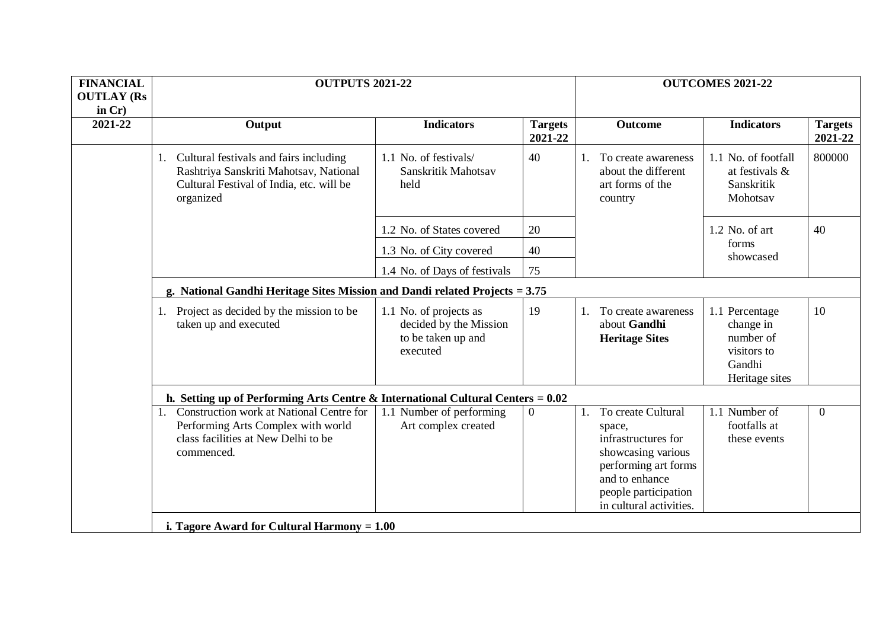| <b>FINANCIAL</b><br><b>OUTLAY (Rs</b><br>in $Cr$ ) | <b>OUTPUTS 2021-22</b>                                                                                                                       |                                                                                    |                           |                                                                                                                                                                              | <b>OUTCOMES 2021-22</b>                                                             |                           |  |
|----------------------------------------------------|----------------------------------------------------------------------------------------------------------------------------------------------|------------------------------------------------------------------------------------|---------------------------|------------------------------------------------------------------------------------------------------------------------------------------------------------------------------|-------------------------------------------------------------------------------------|---------------------------|--|
| 2021-22                                            | Output                                                                                                                                       | <b>Indicators</b>                                                                  | <b>Targets</b><br>2021-22 | <b>Outcome</b>                                                                                                                                                               | <b>Indicators</b>                                                                   | <b>Targets</b><br>2021-22 |  |
|                                                    | 1. Cultural festivals and fairs including<br>Rashtriya Sanskriti Mahotsav, National<br>Cultural Festival of India, etc. will be<br>organized | 1.1 No. of festivals/<br>Sanskritik Mahotsav<br>held                               | 40                        | To create awareness<br>about the different<br>art forms of the<br>country                                                                                                    | 1.1 No. of footfall<br>at festivals &<br>Sanskritik<br>Mohotsav                     | 800000                    |  |
|                                                    |                                                                                                                                              | 1.2 No. of States covered                                                          | 20                        |                                                                                                                                                                              | $1.2$ No. of art                                                                    | 40                        |  |
|                                                    |                                                                                                                                              | 1.3 No. of City covered                                                            | 40                        |                                                                                                                                                                              | forms<br>showcased                                                                  |                           |  |
|                                                    |                                                                                                                                              | 1.4 No. of Days of festivals                                                       | 75                        |                                                                                                                                                                              |                                                                                     |                           |  |
|                                                    | g. National Gandhi Heritage Sites Mission and Dandi related Projects = 3.75                                                                  |                                                                                    |                           |                                                                                                                                                                              |                                                                                     |                           |  |
|                                                    | 1. Project as decided by the mission to be<br>taken up and executed                                                                          | 1.1 No. of projects as<br>decided by the Mission<br>to be taken up and<br>executed | 19                        | To create awareness<br>1.<br>about Gandhi<br><b>Heritage Sites</b>                                                                                                           | 1.1 Percentage<br>change in<br>number of<br>visitors to<br>Gandhi<br>Heritage sites | 10                        |  |
|                                                    | h. Setting up of Performing Arts Centre & International Cultural Centers = $0.02$                                                            |                                                                                    |                           |                                                                                                                                                                              |                                                                                     |                           |  |
|                                                    | 1. Construction work at National Centre for<br>Performing Arts Complex with world<br>class facilities at New Delhi to be<br>commenced.       | 1.1 Number of performing<br>Art complex created                                    | $\Omega$                  | To create Cultural<br>1.<br>space,<br>infrastructures for<br>showcasing various<br>performing art forms<br>and to enhance<br>people participation<br>in cultural activities. | 1.1 Number of<br>footfalls at<br>these events                                       | $\theta$                  |  |
|                                                    | i. Tagore Award for Cultural Harmony $= 1.00$                                                                                                |                                                                                    |                           |                                                                                                                                                                              |                                                                                     |                           |  |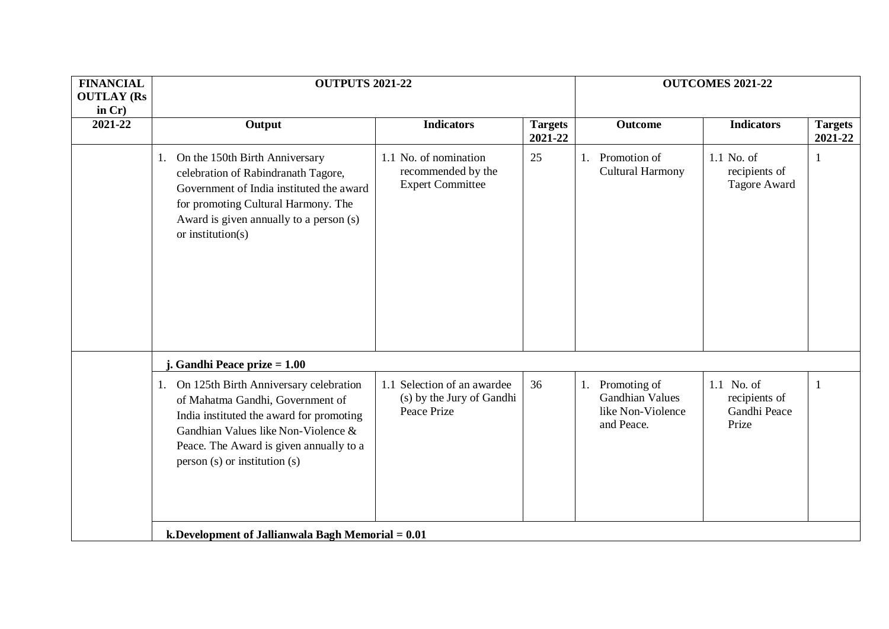| <b>FINANCIAL</b><br><b>OUTLAY (Rs</b><br>in $Cr$ ) | <b>OUTPUTS 2021-22</b>                                                                                                                                                                                                                             |                                                                         |                           |                                                                                 | <b>OUTCOMES 2021-22</b>                              |                           |
|----------------------------------------------------|----------------------------------------------------------------------------------------------------------------------------------------------------------------------------------------------------------------------------------------------------|-------------------------------------------------------------------------|---------------------------|---------------------------------------------------------------------------------|------------------------------------------------------|---------------------------|
| 2021-22                                            | Output                                                                                                                                                                                                                                             | <b>Indicators</b>                                                       | <b>Targets</b><br>2021-22 | <b>Outcome</b>                                                                  | <b>Indicators</b>                                    | <b>Targets</b><br>2021-22 |
|                                                    | On the 150th Birth Anniversary<br>1.<br>celebration of Rabindranath Tagore,<br>Government of India instituted the award<br>for promoting Cultural Harmony. The<br>Award is given annually to a person (s)<br>or institution( $s$ )                 | 1.1 No. of nomination<br>recommended by the<br><b>Expert Committee</b>  | 25                        | Promotion of<br>Cultural Harmony                                                | 1.1 No. of<br>recipients of<br>Tagore Award          | 1                         |
|                                                    | j. Gandhi Peace prize $= 1.00$                                                                                                                                                                                                                     |                                                                         |                           |                                                                                 |                                                      |                           |
|                                                    | On 125th Birth Anniversary celebration<br>1.<br>of Mahatma Gandhi, Government of<br>India instituted the award for promoting<br>Gandhian Values like Non-Violence &<br>Peace. The Award is given annually to a<br>$person(s)$ or institution $(s)$ | 1.1 Selection of an awardee<br>(s) by the Jury of Gandhi<br>Peace Prize | 36                        | Promoting of<br>1.<br><b>Gandhian Values</b><br>like Non-Violence<br>and Peace. | 1.1 No. of<br>recipients of<br>Gandhi Peace<br>Prize | 1                         |
|                                                    | k. Development of Jallianwala Bagh Memorial $= 0.01$                                                                                                                                                                                               |                                                                         |                           |                                                                                 |                                                      |                           |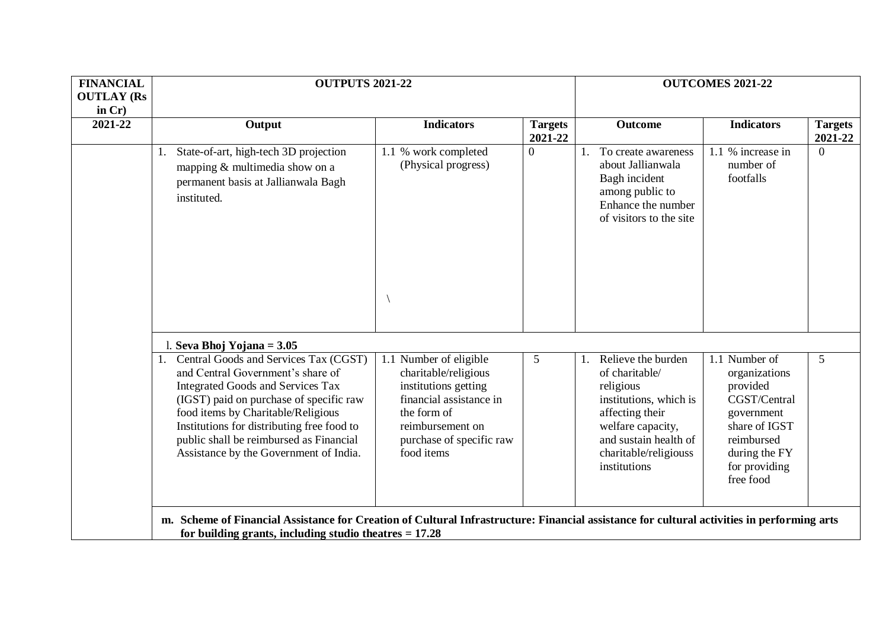| <b>FINANCIAL</b>  | <b>OUTPUTS 2021-22</b>                                                                                                                                                                                                                                                                                                                        |                                                                                                                                                                                |                           | <b>OUTCOMES 2021-22</b>                                                                                                                                                               |                                                                                                                                                        |                           |
|-------------------|-----------------------------------------------------------------------------------------------------------------------------------------------------------------------------------------------------------------------------------------------------------------------------------------------------------------------------------------------|--------------------------------------------------------------------------------------------------------------------------------------------------------------------------------|---------------------------|---------------------------------------------------------------------------------------------------------------------------------------------------------------------------------------|--------------------------------------------------------------------------------------------------------------------------------------------------------|---------------------------|
| <b>OUTLAY (Rs</b> |                                                                                                                                                                                                                                                                                                                                               |                                                                                                                                                                                |                           |                                                                                                                                                                                       |                                                                                                                                                        |                           |
| in $Cr$ )         |                                                                                                                                                                                                                                                                                                                                               |                                                                                                                                                                                |                           |                                                                                                                                                                                       |                                                                                                                                                        |                           |
| 2021-22           | Output                                                                                                                                                                                                                                                                                                                                        | <b>Indicators</b>                                                                                                                                                              | <b>Targets</b><br>2021-22 | Outcome                                                                                                                                                                               | <b>Indicators</b>                                                                                                                                      | <b>Targets</b><br>2021-22 |
|                   | State-of-art, high-tech 3D projection<br>mapping & multimedia show on a<br>permanent basis at Jallianwala Bagh<br>instituted.                                                                                                                                                                                                                 | 1.1 % work completed<br>(Physical progress)                                                                                                                                    | $\overline{0}$            | To create awareness<br>about Jallianwala<br>Bagh incident<br>among public to<br>Enhance the number<br>of visitors to the site                                                         | 1.1 % increase in<br>number of<br>footfalls                                                                                                            | $\Omega$                  |
|                   | 1. Seva Bhoj Yojana = $3.05$                                                                                                                                                                                                                                                                                                                  |                                                                                                                                                                                |                           |                                                                                                                                                                                       |                                                                                                                                                        |                           |
|                   | 1. Central Goods and Services Tax (CGST)<br>and Central Government's share of<br><b>Integrated Goods and Services Tax</b><br>(IGST) paid on purchase of specific raw<br>food items by Charitable/Religious<br>Institutions for distributing free food to<br>public shall be reimbursed as Financial<br>Assistance by the Government of India. | 1.1 Number of eligible<br>charitable/religious<br>institutions getting<br>financial assistance in<br>the form of<br>reimbursement on<br>purchase of specific raw<br>food items | 5                         | Relieve the burden<br>of charitable/<br>religious<br>institutions, which is<br>affecting their<br>welfare capacity,<br>and sustain health of<br>charitable/religiouss<br>institutions | 1.1 Number of<br>organizations<br>provided<br>CGST/Central<br>government<br>share of IGST<br>reimbursed<br>during the FY<br>for providing<br>free food | 5                         |
|                   | m. Scheme of Financial Assistance for Creation of Cultural Infrastructure: Financial assistance for cultural activities in performing arts<br>for building grants, including studio theatres $= 17.28$                                                                                                                                        |                                                                                                                                                                                |                           |                                                                                                                                                                                       |                                                                                                                                                        |                           |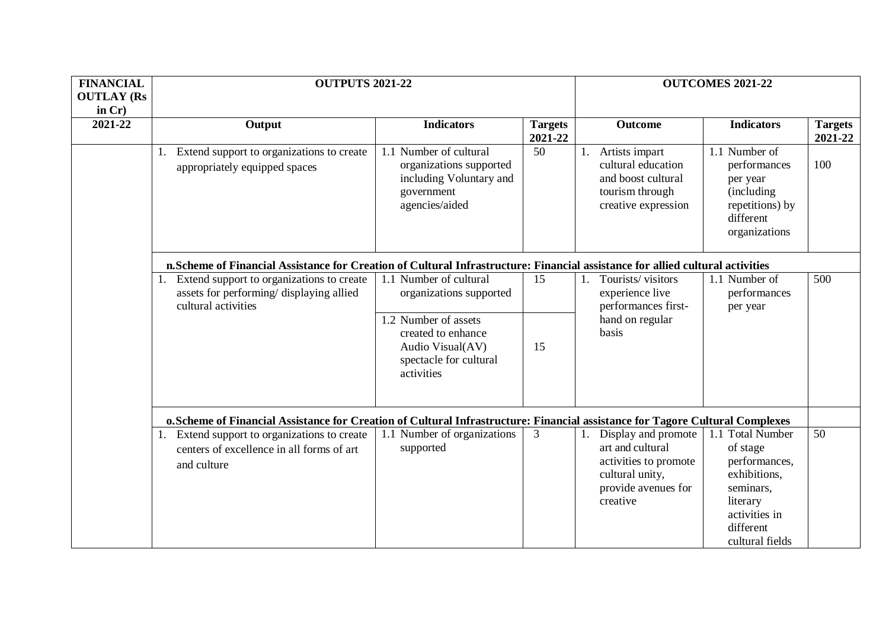| <b>FINANCIAL</b><br><b>OUTLAY (Rs</b> | <b>OUTPUTS 2021-22</b>                                                                                                         |                                                                                                                                                             |                           | <b>OUTCOMES 2021-22</b>                                                                                                      |                                                                                                                                                      |                           |
|---------------------------------------|--------------------------------------------------------------------------------------------------------------------------------|-------------------------------------------------------------------------------------------------------------------------------------------------------------|---------------------------|------------------------------------------------------------------------------------------------------------------------------|------------------------------------------------------------------------------------------------------------------------------------------------------|---------------------------|
| in $Cr$ )<br>2021-22                  | Output                                                                                                                         | <b>Indicators</b>                                                                                                                                           | <b>Targets</b><br>2021-22 | Outcome                                                                                                                      | <b>Indicators</b>                                                                                                                                    | <b>Targets</b><br>2021-22 |
|                                       | Extend support to organizations to create<br>appropriately equipped spaces                                                     | 1.1 Number of cultural<br>organizations supported<br>including Voluntary and<br>government<br>agencies/aided                                                | 50                        | Artists impart<br>1.<br>cultural education<br>and boost cultural<br>tourism through<br>creative expression                   | 1.1 Number of<br>performances<br>per year<br>(including)<br>repetitions) by<br>different<br>organizations                                            | 100                       |
|                                       | n. Scheme of Financial Assistance for Creation of Cultural Infrastructure: Financial assistance for allied cultural activities |                                                                                                                                                             |                           |                                                                                                                              |                                                                                                                                                      |                           |
|                                       | Extend support to organizations to create<br>assets for performing/ displaying allied<br>cultural activities                   | 1.1 Number of cultural<br>organizations supported<br>1.2 Number of assets<br>created to enhance<br>Audio Visual(AV)<br>spectacle for cultural<br>activities | 15<br>15                  | Tourists/visitors<br>1.<br>experience live<br>performances first-<br>hand on regular<br>basis                                | 1.1 Number of<br>performances<br>per year                                                                                                            | 500                       |
|                                       | o. Scheme of Financial Assistance for Creation of Cultural Infrastructure: Financial assistance for Tagore Cultural Complexes  |                                                                                                                                                             |                           |                                                                                                                              |                                                                                                                                                      |                           |
|                                       | Extend support to organizations to create<br>1.<br>centers of excellence in all forms of art<br>and culture                    | 1.1 Number of organizations<br>supported                                                                                                                    | 3                         | Display and promote<br>1.<br>art and cultural<br>activities to promote<br>cultural unity,<br>provide avenues for<br>creative | $\overline{1.1}$ Total Number<br>of stage<br>performances,<br>exhibitions,<br>seminars,<br>literary<br>activities in<br>different<br>cultural fields | $\overline{50}$           |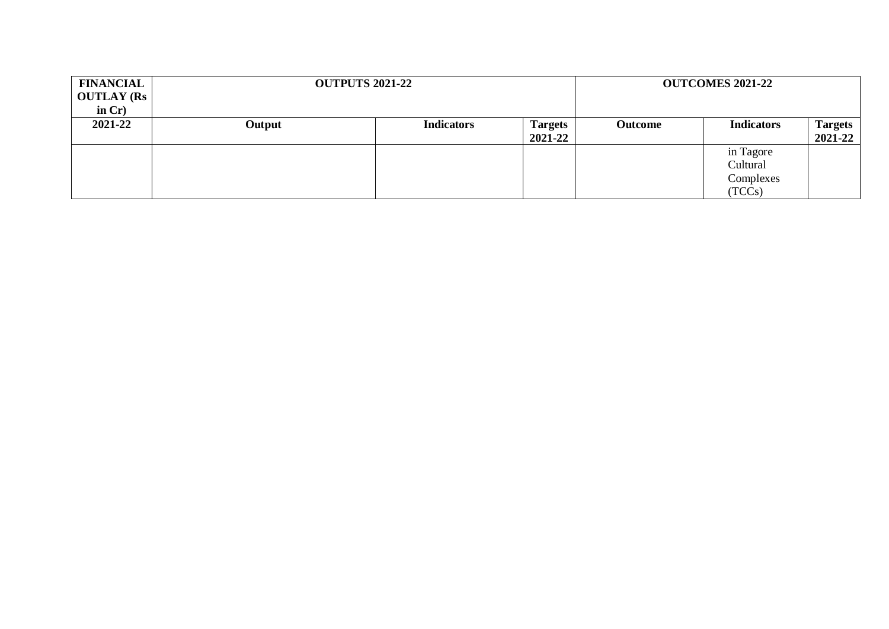| <b>FINANCIAL</b><br><b>OUTLAY (Rs</b><br>in $Cr$ ) | <b>OUTPUTS 2021-22</b> |                   |                           |         | <b>OUTCOMES 2021-22</b>                      |                           |
|----------------------------------------------------|------------------------|-------------------|---------------------------|---------|----------------------------------------------|---------------------------|
| 2021-22                                            | Output                 | <b>Indicators</b> | <b>Targets</b><br>2021-22 | Outcome | <b>Indicators</b>                            | <b>Targets</b><br>2021-22 |
|                                                    |                        |                   |                           |         | in Tagore<br>Cultural<br>Complexes<br>(TCCs) |                           |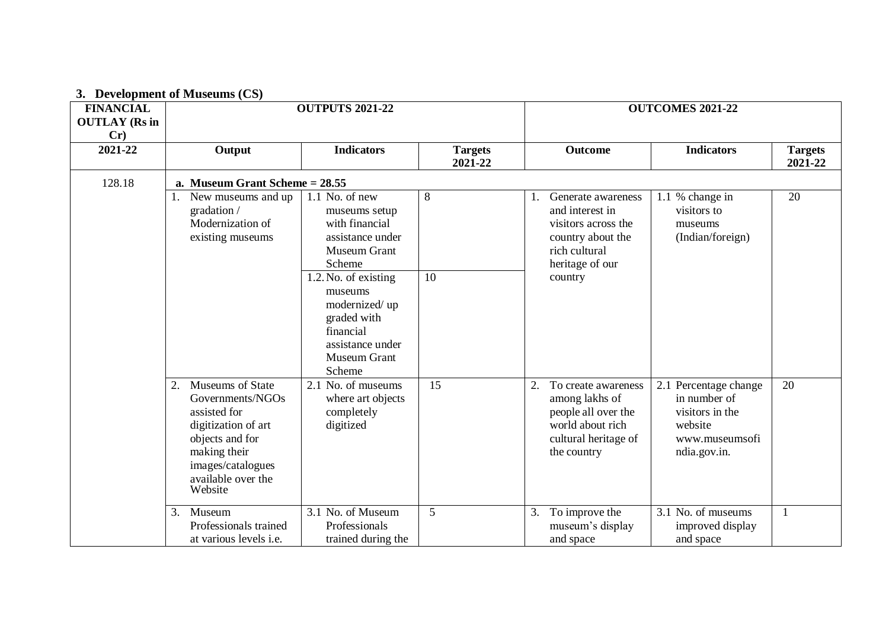## **3. Development of Museums (CS)**

| <b>FINANCIAL</b><br><b>OUTLAY (Rs in</b><br>Cr) |                                                                                                                                                                            | <b>OUTPUTS 2021-22</b>                                                                                                                                      |                           | <b>OUTCOMES 2021-22</b>                                                                                                          |                                                                                                       |                           |
|-------------------------------------------------|----------------------------------------------------------------------------------------------------------------------------------------------------------------------------|-------------------------------------------------------------------------------------------------------------------------------------------------------------|---------------------------|----------------------------------------------------------------------------------------------------------------------------------|-------------------------------------------------------------------------------------------------------|---------------------------|
| 2021-22                                         | Output                                                                                                                                                                     | <b>Indicators</b>                                                                                                                                           | <b>Targets</b><br>2021-22 | Outcome                                                                                                                          | <b>Indicators</b>                                                                                     | <b>Targets</b><br>2021-22 |
| 128.18                                          | a. Museum Grant Scheme $= 28.55$                                                                                                                                           |                                                                                                                                                             |                           |                                                                                                                                  |                                                                                                       |                           |
|                                                 | 1. New museums and up<br>gradation /<br>Modernization of<br>existing museums                                                                                               | 1.1 No. of new<br>museums setup<br>with financial<br>assistance under<br><b>Museum Grant</b><br>Scheme<br>1.2. No. of existing<br>museums<br>modernized/ up | 8<br>10                   | Generate awareness<br>and interest in<br>visitors across the<br>country about the<br>rich cultural<br>heritage of our<br>country | 1.1 % change in<br>visitors to<br>museums<br>(Indian/foreign)                                         | 20                        |
|                                                 |                                                                                                                                                                            | graded with<br>financial<br>assistance under<br>Museum Grant<br>Scheme                                                                                      |                           |                                                                                                                                  |                                                                                                       |                           |
|                                                 | Museums of State<br>2.<br>Governments/NGOs<br>assisted for<br>digitization of art<br>objects and for<br>making their<br>images/catalogues<br>available over the<br>Website | 2.1 No. of museums<br>where art objects<br>completely<br>digitized                                                                                          | 15                        | 2.<br>To create awareness<br>among lakhs of<br>people all over the<br>world about rich<br>cultural heritage of<br>the country    | 2.1 Percentage change<br>in number of<br>visitors in the<br>website<br>www.museumsofi<br>ndia.gov.in. | 20                        |
|                                                 | 3.<br>Museum<br>Professionals trained<br>at various levels <i>i.e.</i>                                                                                                     | 3.1 No. of Museum<br>Professionals<br>trained during the                                                                                                    | 5                         | To improve the<br>3.<br>museum's display<br>and space                                                                            | 3.1 No. of museums<br>improved display<br>and space                                                   |                           |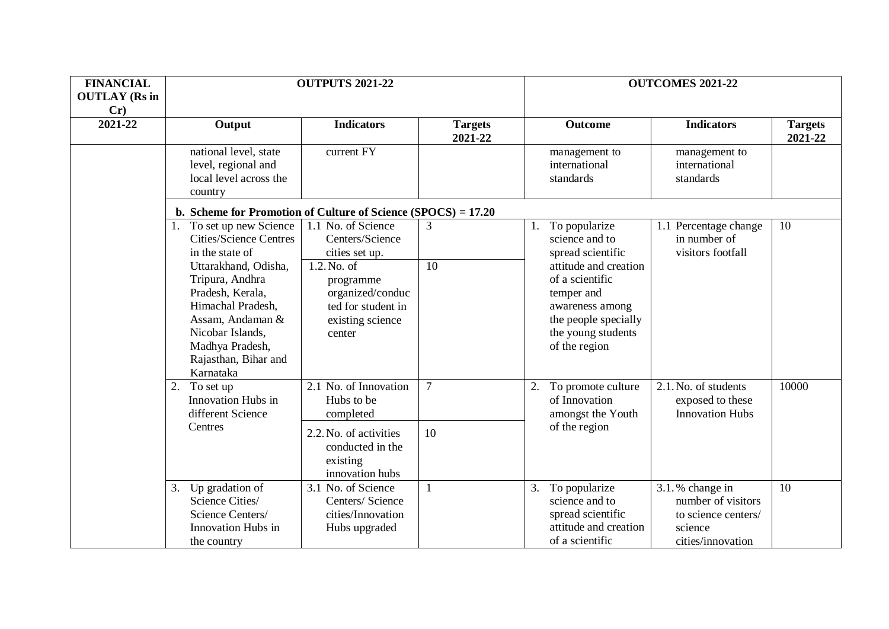| <b>FINANCIAL</b><br><b>OUTLAY</b> (Rs in | <b>OUTPUTS 2021-22</b>                                                                                                                                                           |                                                                                                        |                           | <b>OUTCOMES 2021-22</b>                                                                                                                  |                                                                                                                                  |                           |  |  |
|------------------------------------------|----------------------------------------------------------------------------------------------------------------------------------------------------------------------------------|--------------------------------------------------------------------------------------------------------|---------------------------|------------------------------------------------------------------------------------------------------------------------------------------|----------------------------------------------------------------------------------------------------------------------------------|---------------------------|--|--|
| Cr)                                      |                                                                                                                                                                                  |                                                                                                        |                           |                                                                                                                                          |                                                                                                                                  |                           |  |  |
| 2021-22                                  | Output                                                                                                                                                                           | <b>Indicators</b>                                                                                      | <b>Targets</b><br>2021-22 | <b>Outcome</b>                                                                                                                           | <b>Indicators</b>                                                                                                                | <b>Targets</b><br>2021-22 |  |  |
|                                          | national level, state<br>level, regional and<br>local level across the<br>country                                                                                                | current FY                                                                                             |                           | management to<br>international<br>standards                                                                                              | management to<br>international<br>standards                                                                                      |                           |  |  |
|                                          | b. Scheme for Promotion of Culture of Science $(SPOCS) = 17.20$                                                                                                                  |                                                                                                        |                           |                                                                                                                                          |                                                                                                                                  |                           |  |  |
|                                          | 1. To set up new Science<br><b>Cities/Science Centres</b><br>in the state of                                                                                                     | 1.1 No. of Science<br>Centers/Science<br>cities set up.                                                | 3                         | To popularize<br>science and to<br>spread scientific                                                                                     | 1.1 Percentage change<br>in number of<br>visitors footfall<br>2.1. No. of students<br>exposed to these<br><b>Innovation Hubs</b> | 10                        |  |  |
|                                          | Uttarakhand, Odisha,<br>Tripura, Andhra<br>Pradesh, Kerala,<br>Himachal Pradesh,<br>Assam, Andaman &<br>Nicobar Islands,<br>Madhya Pradesh,<br>Rajasthan, Bihar and<br>Karnataka | 1.2. No. of<br>10<br>programme<br>organized/conduc<br>ted for student in<br>existing science<br>center |                           | attitude and creation<br>of a scientific<br>temper and<br>awareness among<br>the people specially<br>the young students<br>of the region |                                                                                                                                  |                           |  |  |
|                                          | 2.<br>To set up<br>Innovation Hubs in<br>different Science                                                                                                                       | 2.1 No. of Innovation<br>Hubs to be<br>completed                                                       | $\overline{7}$            | To promote culture<br>2.<br>of Innovation<br>amongst the Youth                                                                           |                                                                                                                                  | 10000                     |  |  |
|                                          | Centres                                                                                                                                                                          | 2.2. No. of activities<br>conducted in the<br>existing<br>innovation hubs                              | 10                        | of the region                                                                                                                            |                                                                                                                                  |                           |  |  |
|                                          | Up gradation of<br>3.<br>Science Cities/<br>Science Centers/<br>Innovation Hubs in<br>the country                                                                                | 3.1 No. of Science<br>Centers/ Science<br>cities/Innovation<br>Hubs upgraded                           | 1                         | To popularize<br>3.<br>science and to<br>spread scientific<br>attitude and creation<br>of a scientific                                   | 3.1.% change in<br>number of visitors<br>to science centers/<br>science<br>cities/innovation                                     | 10                        |  |  |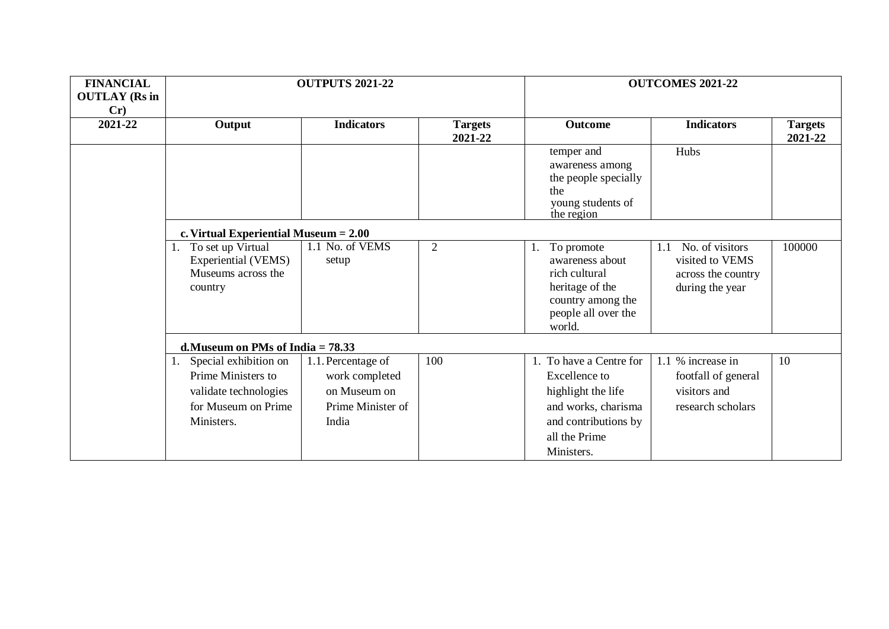| <b>FINANCIAL</b><br><b>OUTLAY</b> (Rs in<br>Cr) | <b>OUTPUTS 2021-22</b>                                                                                    |                                                                                    |                | <b>OUTCOMES 2021-22</b>                                                                                                                             |                                                                                    |                           |  |  |  |  |
|-------------------------------------------------|-----------------------------------------------------------------------------------------------------------|------------------------------------------------------------------------------------|----------------|-----------------------------------------------------------------------------------------------------------------------------------------------------|------------------------------------------------------------------------------------|---------------------------|--|--|--|--|
| 2021-22                                         | Output                                                                                                    | <b>Indicators</b><br><b>Targets</b><br>2021-22                                     |                | Outcome                                                                                                                                             | <b>Indicators</b>                                                                  | <b>Targets</b><br>2021-22 |  |  |  |  |
|                                                 |                                                                                                           |                                                                                    |                | temper and<br>awareness among<br>the people specially<br>the<br>young students of<br>the region                                                     | Hubs                                                                               |                           |  |  |  |  |
|                                                 | c. Virtual Experiential Museum $= 2.00$                                                                   |                                                                                    |                |                                                                                                                                                     |                                                                                    |                           |  |  |  |  |
|                                                 | 1. To set up Virtual<br>Experiential (VEMS)<br>Museums across the<br>country                              | 1.1 No. of VEMS<br>setup                                                           | $\overline{2}$ | To promote<br>1.<br>awareness about<br>rich cultural<br>heritage of the<br>country among the<br>people all over the<br>world.                       | No. of visitors<br>1.1<br>visited to VEMS<br>across the country<br>during the year | 100000                    |  |  |  |  |
|                                                 | d. Museum on PMs of India $= 78.33$                                                                       |                                                                                    |                |                                                                                                                                                     |                                                                                    |                           |  |  |  |  |
|                                                 | Special exhibition on<br>Prime Ministers to<br>validate technologies<br>for Museum on Prime<br>Ministers. | 1.1. Percentage of<br>work completed<br>on Museum on<br>Prime Minister of<br>India | 100            | 1. To have a Centre for<br><b>Excellence</b> to<br>highlight the life<br>and works, charisma<br>and contributions by<br>all the Prime<br>Ministers. | 1.1 % increase in<br>footfall of general<br>visitors and<br>research scholars      | 10                        |  |  |  |  |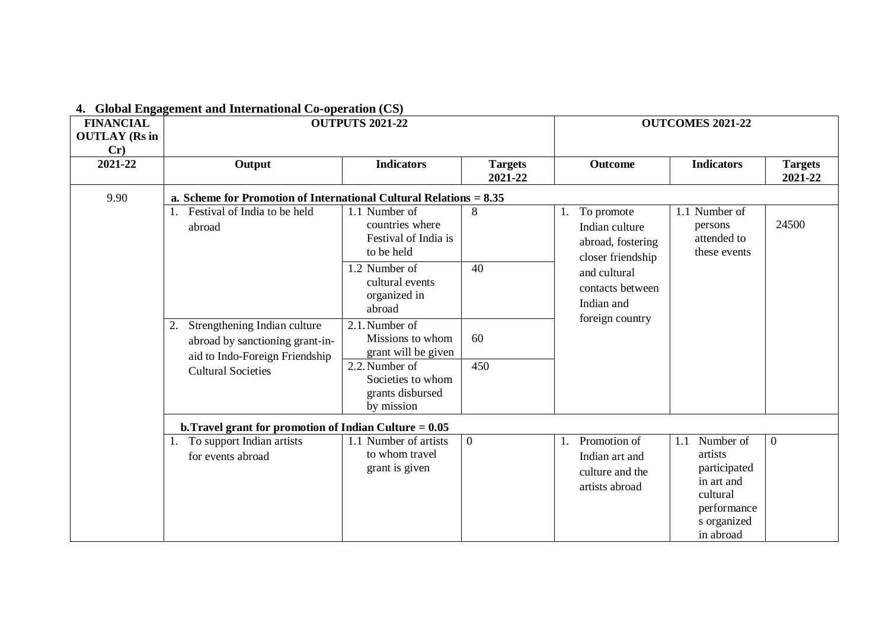| <b>FINANCIAL</b><br><b>OUTLAY</b> (Rs in<br>Cr) | <b>OUTPUTS 2021-22</b>                                                                                                               |                                                                        |                           | <b>OUTCOMES 2021-22</b>                                                      |                                                                                                                  |                           |  |  |  |
|-------------------------------------------------|--------------------------------------------------------------------------------------------------------------------------------------|------------------------------------------------------------------------|---------------------------|------------------------------------------------------------------------------|------------------------------------------------------------------------------------------------------------------|---------------------------|--|--|--|
| 2021-22                                         | Output                                                                                                                               | <b>Indicators</b>                                                      | <b>Targets</b><br>2021-22 | <b>Outcome</b>                                                               | <b>Indicators</b>                                                                                                | <b>Targets</b><br>2021-22 |  |  |  |
| 9.90                                            | a. Scheme for Promotion of International Cultural Relations $= 8.35$                                                                 |                                                                        |                           |                                                                              |                                                                                                                  |                           |  |  |  |
|                                                 | Festival of India to be held<br>abroad                                                                                               | 1.1 Number of<br>countries where<br>Festival of India is<br>to be held | 8                         | To promote<br>1.<br>Indian culture<br>abroad, fostering<br>closer friendship | Number of<br>1.1<br>persons<br>attended to<br>these events                                                       | 24500                     |  |  |  |
|                                                 |                                                                                                                                      | 1.2 Number of<br>cultural events<br>organized in<br>abroad             | 40                        | and cultural<br>contacts between<br>Indian and                               |                                                                                                                  |                           |  |  |  |
|                                                 | Strengthening Indian culture<br>2.<br>abroad by sanctioning grant-in-<br>aid to Indo-Foreign Friendship<br><b>Cultural Societies</b> | 2.1. Number of<br>Missions to whom<br>grant will be given              | 60                        | foreign country                                                              |                                                                                                                  |                           |  |  |  |
|                                                 |                                                                                                                                      | 2.2. Number of<br>Societies to whom<br>grants disbursed<br>by mission  | 450                       |                                                                              |                                                                                                                  |                           |  |  |  |
|                                                 | b. Travel grant for promotion of Indian Culture $= 0.05$                                                                             |                                                                        |                           |                                                                              |                                                                                                                  |                           |  |  |  |
|                                                 | 1. To support Indian artists<br>for events abroad                                                                                    | 1.1 Number of artists<br>to whom travel<br>grant is given              | $\overline{0}$            | Promotion of<br>1.<br>Indian art and<br>culture and the<br>artists abroad    | Number of<br>1.1<br>artists<br>participated<br>in art and<br>cultural<br>performance<br>s organized<br>in abroad | $\Omega$                  |  |  |  |

### **4. Global Engagement and International Co-operation (CS)**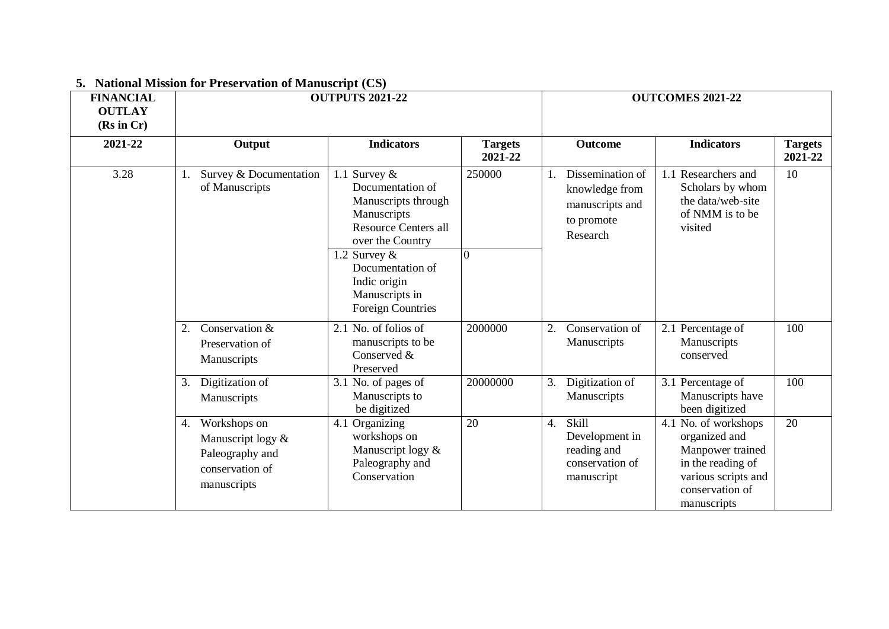| <b>FINANCIAL</b><br><b>OUTLAY</b><br>(Rs in Cr) | <b>OUTPUTS 2021-22</b>                                                                    |                                                                                                                              |                           | <b>OUTCOMES 2021-22</b> |                                                                                 |                                                                                                                                         |                           |
|-------------------------------------------------|-------------------------------------------------------------------------------------------|------------------------------------------------------------------------------------------------------------------------------|---------------------------|-------------------------|---------------------------------------------------------------------------------|-----------------------------------------------------------------------------------------------------------------------------------------|---------------------------|
| 2021-22                                         | Output                                                                                    | <b>Indicators</b>                                                                                                            | <b>Targets</b><br>2021-22 |                         | <b>Outcome</b>                                                                  | <b>Indicators</b>                                                                                                                       | <b>Targets</b><br>2021-22 |
| 3.28                                            | Survey & Documentation<br>of Manuscripts                                                  | 1.1 Survey $\&$<br>Documentation of<br>Manuscripts through<br>Manuscripts<br><b>Resource Centers all</b><br>over the Country | 250000                    |                         | Dissemination of<br>knowledge from<br>manuscripts and<br>to promote<br>Research | 1.1 Researchers and<br>Scholars by whom<br>the data/web-site<br>of NMM is to be<br>visited                                              | 10                        |
|                                                 |                                                                                           | 1.2 Survey $\&$<br>Documentation of<br>Indic origin<br>Manuscripts in<br><b>Foreign Countries</b>                            | 0                         |                         |                                                                                 |                                                                                                                                         |                           |
|                                                 | Conservation &<br>2.<br>Preservation of<br>Manuscripts                                    | 2.1 No. of folios of<br>manuscripts to be<br>Conserved &<br>Preserved                                                        | 2000000                   | 2.                      | Conservation of<br>Manuscripts                                                  | 2.1 Percentage of<br>Manuscripts<br>conserved                                                                                           | 100                       |
|                                                 | Digitization of<br>3.<br>Manuscripts                                                      | 3.1 No. of pages of<br>Manuscripts to<br>be digitized                                                                        | 20000000                  | 3.                      | Digitization of<br>Manuscripts                                                  | 3.1 Percentage of<br>Manuscripts have<br>been digitized                                                                                 | 100                       |
|                                                 | 4. Workshops on<br>Manuscript logy &<br>Paleography and<br>conservation of<br>manuscripts | 4.1 Organizing<br>workshops on<br>Manuscript logy &<br>Paleography and<br>Conservation                                       | 20                        | $\overline{4}$ .        | Skill<br>Development in<br>reading and<br>conservation of<br>manuscript         | 4.1 No. of workshops<br>organized and<br>Manpower trained<br>in the reading of<br>various scripts and<br>conservation of<br>manuscripts | 20                        |

# **5. National Mission for Preservation of Manuscript (CS)**